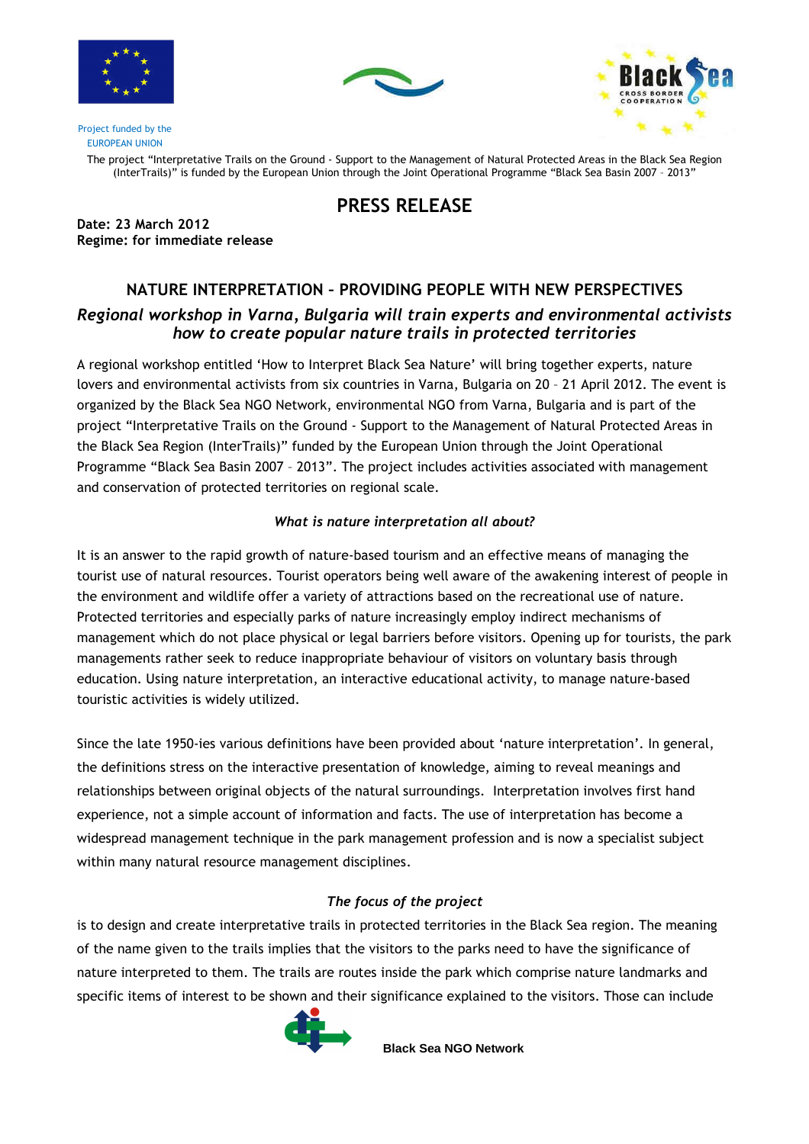





Project funded by the EUROPEAN UNION

> The project "Interpretative Trails on the Ground - Support to the Management of Natural Protected Areas in the Black Sea Region (InterTrails)" is funded by the European Union through the Joint Operational Programme "Black Sea Basin 2007 – 2013"

## PRESS RELEASE

Date: 23 March 2012 Regime: for immediate release

# NATURE INTERPRETATION – PROVIDING PEOPLE WITH NEW PERSPECTIVES Regional workshop in Varna, Bulgaria will train experts and environmental activists how to create popular nature trails in protected territories

A regional workshop entitled 'How to Interpret Black Sea Nature' will bring together experts, nature lovers and environmental activists from six countries in Varna, Bulgaria on 20 – 21 April 2012. The event is organized by the Black Sea NGO Network, environmental NGO from Varna, Bulgaria and is part of the project "Interpretative Trails on the Ground - Support to the Management of Natural Protected Areas in the Black Sea Region (InterTrails)" funded by the European Union through the Joint Operational Programme "Black Sea Basin 2007 – 2013". The project includes activities associated with management and conservation of protected territories on regional scale.

### What is nature interpretation all about?

It is an answer to the rapid growth of nature-based tourism and an effective means of managing the tourist use of natural resources. Tourist operators being well aware of the awakening interest of people in the environment and wildlife offer a variety of attractions based on the recreational use of nature. Protected territories and especially parks of nature increasingly employ indirect mechanisms of management which do not place physical or legal barriers before visitors. Opening up for tourists, the park managements rather seek to reduce inappropriate behaviour of visitors on voluntary basis through education. Using nature interpretation, an interactive educational activity, to manage nature-based touristic activities is widely utilized.

Since the late 1950-ies various definitions have been provided about 'nature interpretation'. In general, the definitions stress on the interactive presentation of knowledge, aiming to reveal meanings and relationships between original objects of the natural surroundings. Interpretation involves first hand experience, not a simple account of information and facts. The use of interpretation has become a widespread management technique in the park management profession and is now a specialist subject within many natural resource management disciplines.

## The focus of the project

is to design and create interpretative trails in protected territories in the Black Sea region. The meaning of the name given to the trails implies that the visitors to the parks need to have the significance of nature interpreted to them. The trails are routes inside the park which comprise nature landmarks and specific items of interest to be shown and their significance explained to the visitors. Those can include



**Black Sea NGO Network**